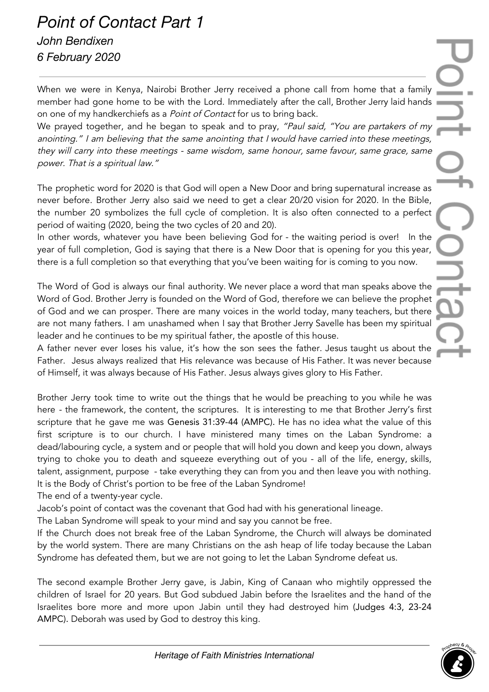## *Point of Contact Part 1*

*John Bendixen 6 February 2020*

When we were in Kenya, Nairobi Brother Jerry received a phone call from home that a family member had gone home to be with the Lord. Immediately after the call, Brother Jerry laid hands on one of my handkerchiefs as a Point of Contact for us to bring back.

We prayed together, and he began to speak and to pray, "Paul said, "You are partakers of my anointing." I am believing that the same anointing that I would have carried into these meetings, they will carry into these meetings - same wisdom, same honour, same favour, same grace, same power. That is <sup>a</sup> spiritual law."

The prophetic word for 2020 is that God will open a New Door and bring supernatural increase as never before. Brother Jerry also said we need to get a clear 20/20 vision for 2020. In the Bible, the number 20 symbolizes the full cycle of completion. It is also often connected to a perfect period of waiting (2020, being the two cycles of 20 and 20).

In other words, whatever you have been believing God for - the waiting period is over! In the year of full completion, God is saying that there is a New Door that is opening for you this year, there is a full completion so that everything that you've been waiting for is coming to you now.

The Word of God is always our final authority. We never place a word that man speaks above the Word of God. Brother Jerry is founded on the Word of God, therefore we can believe the prophet of God and we can prosper. There are many voices in the world today, many teachers, but there are not many fathers. I am unashamed when I say that Brother Jerry Savelle has been my spiritual leader and he continues to be my spiritual father, the apostle of this house.

A father never ever loses his value, it's how the son sees the father. Jesus taught us about the Father. Jesus always realized that His relevance was because of His Father. It was never because of Himself, it was always because of His Father. Jesus always gives glory to His Father.

Brother Jerry took time to write out the things that he would be preaching to you while he was here - the framework, the content, the scriptures. It is interesting to me that Brother Jerry's first scripture that he gave me was Genesis 31:39-44 (AMPC). He has no idea what the value of this first scripture is to our church. I have ministered many times on the Laban Syndrome: a dead/labouring cycle, a system and or people that will hold you down and keep you down, always trying to choke you to death and squeeze everything out of you - all of the life, energy, skills, talent, assignment, purpose - take everything they can from you and then leave you with nothing. It is the Body of Christ's portion to be free of the Laban Syndrome!

The end of a twenty-year cycle.

Jacob's point of contact was the covenant that God had with his generational lineage.

The Laban Syndrome will speak to your mind and say you cannot be free.

If the Church does not break free of the Laban Syndrome, the Church will always be dominated by the world system. There are many Christians on the ash heap of life today because the Laban Syndrome has defeated them, but we are not going to let the Laban Syndrome defeat us.

The second example Brother Jerry gave, is Jabin, King of Canaan who mightily oppressed the children of Israel for 20 years. But God subdued Jabin before the Israelites and the hand of the Israelites bore more and more upon Jabin until they had destroyed him (Judges 4:3, 23-24 AMPC). Deborah was used by God to destroy this king.